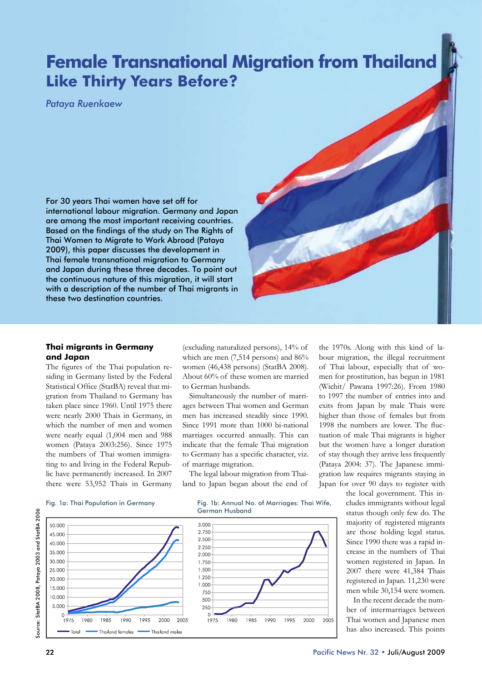# **Female Transnational Migration from Thailand Like Thirty Years Before?**

*Pataya Ruenkaew*

For 30 years Thai women have set off for international labour migration. Germany and Japan are among the most important receiving countries. Based on the findings of the study on The Rights of Thai Women to Migrate to Work Abroad (Pataya 2009), this paper discusses the development in Thai female transnational migration to Germany and Japan during these three decades. To point out the continuous nature of this migration, it will start with a description of the number of Thai migrants in these two destination countries.

### **Thai migrants in Germany and Japan**

The figures of the Thai population residing in Germany listed by the Federal Statistical Office (StatBA) reveal that migration from Thailand to Germany has taken place since 1960. Until 1975 there were nearly 2000 Thais in Germany, in which the number of men and women were nearly equal (1,004 men and 988 women (Pataya 2003:256). Since 1975 the numbers of Thai women immigrating to and living in the Federal Republic have permanently increased. In 2007 there were 53,952 Thais in Germany

(excluding naturalized persons), 14% of which are men (7,514 persons) and 86% women (46,438 persons) (StatBA 2008). About 60% of these women are married to German husbands.

Simultaneously the number of marriages between Thai women and German men has increased steadily since 1990. Since 1991 more than 1000 bi-national marriages occurred annually. This can indicate that the female Thai migration to Germany has a specific character, viz. of marriage migration.

The legal labour migration from Thailand to Japan began about the end of

1995

2000

 $2005$ 

the 1970s. Along with this kind of labour migration, the illegal recruitment of Thai labour, especially that of women for prostitution, has begun in 1981 (Wichit/ Pawana 1997:26). From 1980 to 1997 the number of entries into and exits from Japan by male Thais were higher than those of females but from 1998 the numbers are lower. The fluctuation of male Thai migrants is higher but the women have a longer duration of stay though they arrive less frequently (Pataya 2004: 37). The Japanese immigration law requires migrants staying in Japan for over 90 days to register with

### Fig. 1a: Thai Population in Germany Fig. 1b: Annual No. of Marriages: Thai Wife,



the local government. This includes immigrants without legal status though only few do. The majority of registered migrants are those holding legal status. Since 1990 there was a rapid increase in the numbers of Thai women registered in Japan. In 2007 there were 41,384 Thais registered in Japan. 11,230 were men while 30,154 were women.

In the recent decade the number of intermarriages between Thai women and Japanese men has also increased. This points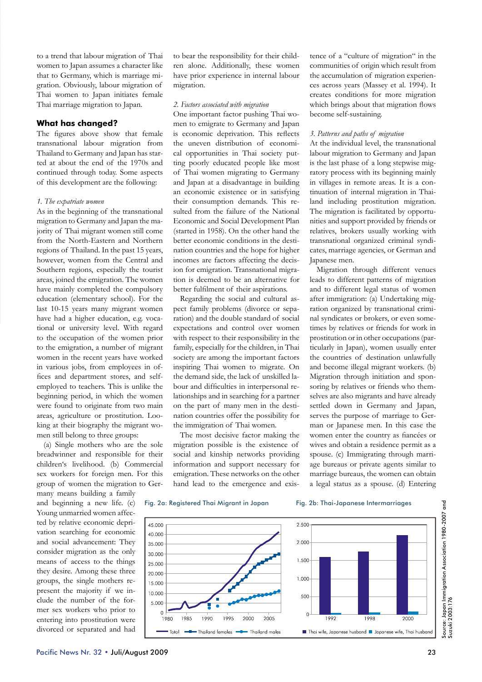to a trend that labour migration of Thai women to Japan assumes a character like that to Germany, which is marriage migration. Obviously, labour migration of Thai women to Japan initiates female Thai marriage migration to Japan.

### **What has changed?**

The figures above show that female transnational labour migration from Thailand to Germany and Japan has started at about the end of the 1970s and continued through today. Some aspects of this development are the following:

### *1. The expatriate women*

As in the beginning of the transnational migration to Germany and Japan the majority of Thai migrant women still come from the North-Eastern and Northern regions of Thailand. In the past 15 years, however, women from the Central and Southern regions, especially the tourist areas, joined the emigration. The women have mainly completed the compulsory education (elementary school). For the last 10-15 years many migrant women have had a higher education, e.g. vocational or university level. With regard to the occupation of the women prior to the emigration, a number of migrant women in the recent years have worked in various jobs, from employees in offices and department stores, and selfemployed to teachers. This is unlike the beginning period, in which the women were found to originate from two main areas, agriculture or prostitution. Looking at their biography the migrant women still belong to three groups:

(a) Single mothers who are the sole breadwinner and responsible for their children's livelihood. (b) Commercial sex workers for foreign men. For this group of women the migration to Germany means building a family

and beginning a new life. (c) Young unmarried women affected by relative economic deprivation searching for economic and social advancement: They consider migration as the only means of access to the things they desire. Among these three groups, the single mothers represent the majority if we include the number of the former sex workers who prior to entering into prostitution were divorced or separated and had to bear the responsibility for their children alone. Additionally, these women have prior experience in internal labour migration.

### *2. Factors associated with migration*

One important factor pushing Thai women to emigrate to Germany and Japan is economic deprivation. This reflects the uneven distribution of economical opportunities in Thai society putting poorly educated people like most of Thai women migrating to Germany and Japan at a disadvantage in building an economic existence or in satisfying their consumption demands. This resulted from the failure of the National Economic and Social Development Plan (started in 1958). On the other hand the better economic conditions in the destination countries and the hope for higher incomes are factors affecting the decision for emigration. Transnational migration is deemed to be an alternative for better fulfilment of their aspirations.

Regarding the social and cultural aspect family problems (divorce or separation) and the double standard of social expectations and control over women with respect to their responsibility in the family, especially for the children, in Thai society are among the important factors inspiring Thai women to migrate. On the demand side, the lack of unskilled labour and difficulties in interpersonal relationships and in searching for a partner on the part of many men in the destination countries offer the possibility for the immigration of Thai women.

The most decisive factor making the migration possible is the existence of social and kinship networks providing information and support necessary for emigration. These networks on the other hand lead to the emergence and existence of a "culture of migration" in the communities of origin which result from the accumulation of migration experiences across years (Massey et al. 1994). It creates conditions for more migration which brings about that migration flows become self-sustaining.

### *3. Patterns and paths of migration*

At the individual level, the transnational labour migration to Germany and Japan is the last phase of a long stepwise migratory process with its beginning mainly in villages in remote areas. It is a continuation of internal migration in Thailand including prostitution migration. The migration is facilitated by opportunities and support provided by friends or relatives, brokers usually working with transnational organized criminal syndicates, marriage agencies, or German and Japanese men.

Migration through different venues leads to different patterns of migration and to different legal status of women after immigration: (a) Undertaking migration organized by transnational criminal syndicates or brokers, or even sometimes by relatives or friends for work in prostitution or in other occupations (particularly in Japan), women usually enter the countries of destination unlawfully and become illegal migrant workers. (b) Migration through initiation and sponsoring by relatives or friends who themselves are also migrants and have already settled down in Germany and Japan, serves the purpose of marriage to German or Japanese men. In this case the women enter the country as fiancées or wives and obtain a residence permit as a spouse. (c) Immigrating through marriage bureaus or private agents similar to marriage bureaus, the women can obtain a legal status as a spouse. (d) Entering

### Fig. 2a: Registered Thai Migrant in Japan Fig. 2b: Thai-Japanese Intermarriages





nd<br>G